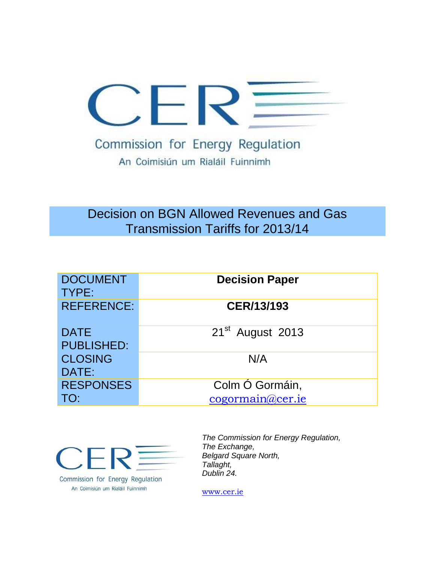

# Decision on BGN Allowed Revenues and Gas Transmission Tariffs for 2013/14

| <b>DOCUMENT</b><br>TYPE:         | <b>Decision Paper</b>        |
|----------------------------------|------------------------------|
| <b>REFERENCE:</b>                | CER/13/193                   |
| <b>DATE</b><br><b>PUBLISHED:</b> | 21 <sup>st</sup> August 2013 |
| <b>CLOSING</b><br>DATE:          | N/A                          |
| <b>RESPONSES</b>                 | Colm Ó Gormáin,              |
| TO:                              | cogormain@cer.ie             |



Commission for Energy Regulation An Coimisiún um Rialáil Fuinnimh

*The Commission for Energy Regulation, The Exchange, Belgard Square North, Tallaght, Dublin 24.*

[www.cer.ie](http://www.cer.ie/)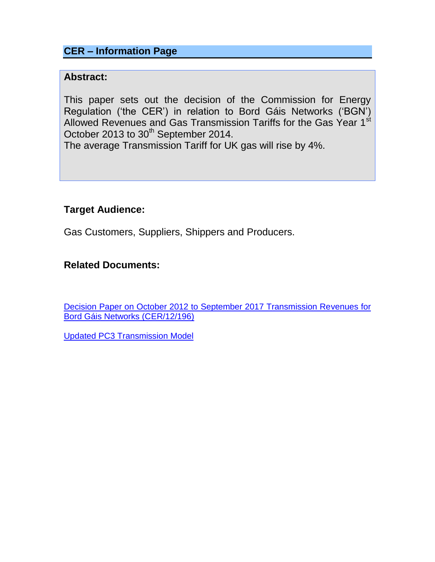## **CER – Information Page**

### **Abstract:**

This paper sets out the decision of the Commission for Energy Regulation ('the CER') in relation to Bord Gáis Networks ('BGN') Allowed Revenues and Gas Transmission Tariffs for the Gas Year 1<sup>st</sup> October 2013 to 30<sup>th</sup> September 2014.

The average Transmission Tariff for UK gas will rise by 4%.

## **Target Audience:**

Gas Customers, Suppliers, Shippers and Producers.

## **Related Documents:**

[Decision Paper on October 2012 to September 2017 Transmission Revenues for](http://www.cer.ie/GetAttachment.aspx?id=a34f1c03-d9c4-48ac-a440-42ed0a28f205)  [Bord Gáis Networks \(CER/12/196\)](http://www.cer.ie/GetAttachment.aspx?id=a34f1c03-d9c4-48ac-a440-42ed0a28f205)

[Updated PC3 Transmission Model](http://www.cer.ie/en/gas-transmission-network-current-consultations.aspx?article=5df59af3-2e89-493f-8244-4af1a0cec775)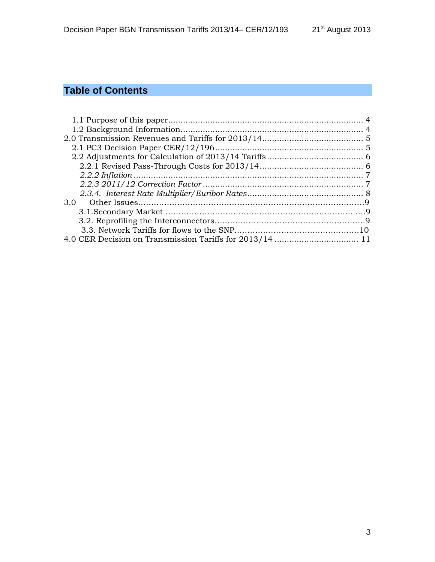# **Table of Contents**

| 3.0 |  |
|-----|--|
|     |  |
|     |  |
|     |  |
|     |  |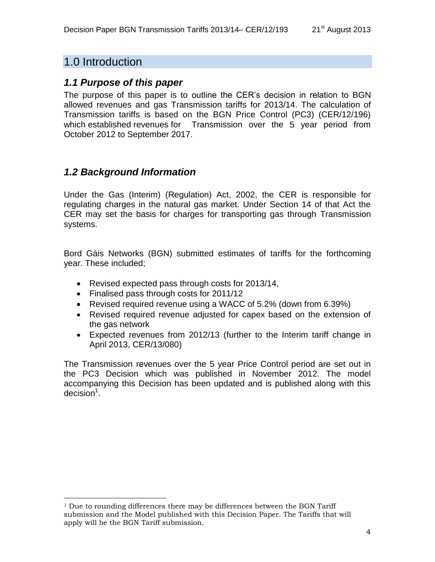## 1.0 Introduction

### <span id="page-3-0"></span>*1.1 Purpose of this paper*

The purpose of this paper is to outline the CER's decision in relation to BGN allowed revenues and gas Transmission tariffs for 2013/14. The calculation of Transmission tariffs is based on the BGN Price Control (PC3) (CER/12/196) which established revenues for Transmission over the 5 year period from October 2012 to September 2017.

## <span id="page-3-1"></span>*1.2 Background Information*

Under the Gas (Interim) (Regulation) Act, 2002, the CER is responsible for regulating charges in the natural gas market. Under Section 14 of that Act the CER may set the basis for charges for transporting gas through Transmission systems.

Bord Gáis Networks (BGN) submitted estimates of tariffs for the forthcoming year. These included;

- Revised expected pass through costs for 2013/14,
- Finalised pass through costs for 2011/12
- Revised required revenue using a WACC of 5.2% (down from 6.39%)
- Revised required revenue adjusted for capex based on the extension of the gas network
- Expected revenues from 2012/13 (further to the Interim tariff change in April 2013, CER/13/080)

The Transmission revenues over the 5 year Price Control period are set out in the PC3 Decision which was published in November 2012. The model accompanying this Decision has been updated and is published along with this  $decision<sup>1</sup>$ .

 $1$  Due to rounding differences there may be differences between the BGN Tariff submission and the Model published with this Decision Paper. The Tariffs that will apply will be the BGN Tariff submission.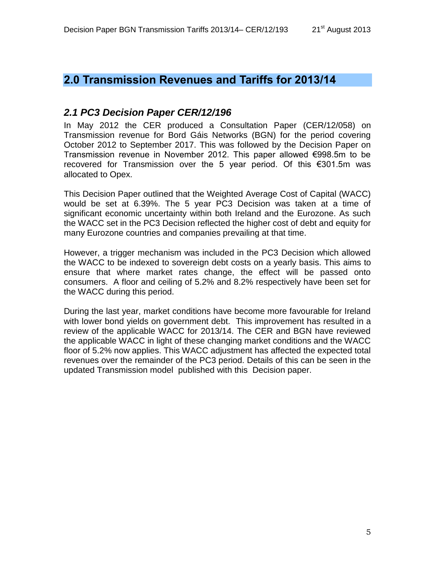## <span id="page-4-0"></span>**2.0 Transmission Revenues and Tariffs for 2013/14**

## <span id="page-4-1"></span>*2.1 PC3 Decision Paper CER/12/196*

In May 2012 the CER produced a Consultation Paper (CER/12/058) on Transmission revenue for Bord Gáis Networks (BGN) for the period covering October 2012 to September 2017. This was followed by the Decision Paper on Transmission revenue in November 2012. This paper allowed €998.5m to be recovered for Transmission over the 5 year period. Of this €301.5m was allocated to Opex.

This Decision Paper outlined that the Weighted Average Cost of Capital (WACC) would be set at 6.39%. The 5 year PC3 Decision was taken at a time of significant economic uncertainty within both Ireland and the Eurozone. As such the WACC set in the PC3 Decision reflected the higher cost of debt and equity for many Eurozone countries and companies prevailing at that time.

However, a trigger mechanism was included in the PC3 Decision which allowed the WACC to be indexed to sovereign debt costs on a yearly basis. This aims to ensure that where market rates change, the effect will be passed onto consumers. A floor and ceiling of 5.2% and 8.2% respectively have been set for the WACC during this period.

During the last year, market conditions have become more favourable for Ireland with lower bond yields on government debt. This improvement has resulted in a review of the applicable WACC for 2013/14. The CER and BGN have reviewed the applicable WACC in light of these changing market conditions and the WACC floor of 5.2% now applies. This WACC adjustment has affected the expected total revenues over the remainder of the PC3 period. Details of this can be seen in the updated Transmission model published with this Decision paper.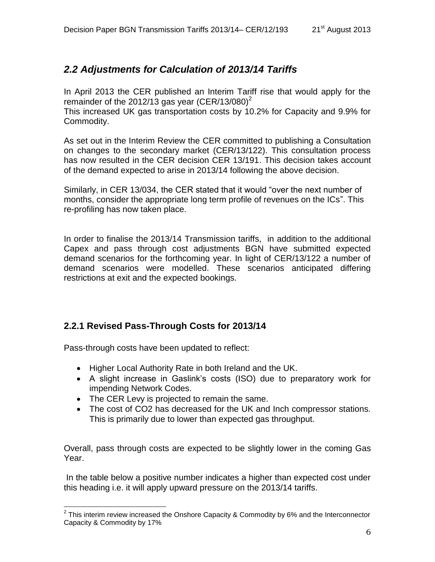## <span id="page-5-0"></span>*2.2 Adjustments for Calculation of 2013/14 Tariffs*

In April 2013 the CER published an Interim Tariff rise that would apply for the remainder of the 2012/13 gas year (CER/13/080)<sup>2</sup>

This increased UK gas transportation costs by 10.2% for Capacity and 9.9% for Commodity.

As set out in the Interim Review the CER committed to publishing a Consultation on changes to the secondary market (CER/13/122). This consultation process has now resulted in the CER decision CER 13/191. This decision takes account of the demand expected to arise in 2013/14 following the above decision.

Similarly, in CER 13/034, the CER stated that it would "over the next number of months, consider the appropriate long term profile of revenues on the ICs". This re-profiling has now taken place.

In order to finalise the 2013/14 Transmission tariffs, in addition to the additional Capex and pass through cost adjustments BGN have submitted expected demand scenarios for the forthcoming year. In light of CER/13/122 a number of demand scenarios were modelled. These scenarios anticipated differing restrictions at exit and the expected bookings.

## <span id="page-5-1"></span>**2.2.1 Revised Pass-Through Costs for 2013/14**

Pass-through costs have been updated to reflect:

 $\overline{a}$ 

- Higher Local Authority Rate in both Ireland and the UK.
- A slight increase in Gaslink's costs (ISO) due to preparatory work for impending Network Codes.
- The CER Levy is projected to remain the same.
- The cost of CO2 has decreased for the UK and lnch compressor stations. This is primarily due to lower than expected gas throughput.

Overall, pass through costs are expected to be slightly lower in the coming Gas Year.

In the table below a positive number indicates a higher than expected cost under this heading i.e. it will apply upward pressure on the 2013/14 tariffs.

 $2$  This interim review increased the Onshore Capacity & Commodity by 6% and the Interconnector Capacity & Commodity by 17%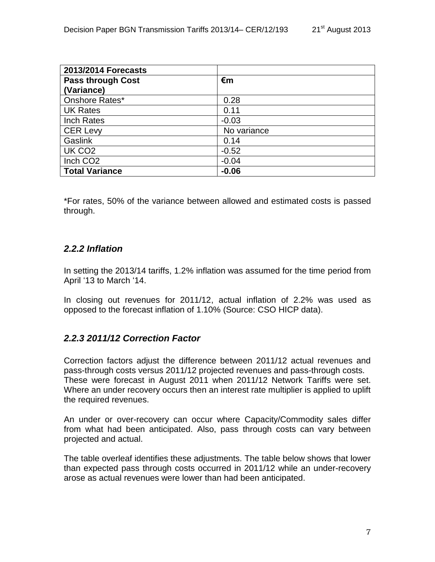| 2013/2014 Forecasts      |             |
|--------------------------|-------------|
| <b>Pass through Cost</b> | €m          |
| (Variance)               |             |
| Onshore Rates*           | 0.28        |
| <b>UK Rates</b>          | 0.11        |
| Inch Rates               | $-0.03$     |
| <b>CER Levy</b>          | No variance |
| <b>Gaslink</b>           | 0.14        |
| UK CO <sub>2</sub>       | $-0.52$     |
| Inch CO <sub>2</sub>     | $-0.04$     |
| <b>Total Variance</b>    | $-0.06$     |

\*For rates, 50% of the variance between allowed and estimated costs is passed through.

#### <span id="page-6-0"></span>*2.2.2 Inflation*

In setting the 2013/14 tariffs, 1.2% inflation was assumed for the time period from April '13 to March '14.

In closing out revenues for 2011/12, actual inflation of 2.2% was used as opposed to the forecast inflation of 1.10% (Source: CSO HICP data).

#### <span id="page-6-1"></span>*2.2.3 2011/12 Correction Factor*

Correction factors adjust the difference between 2011/12 actual revenues and pass-through costs versus 2011/12 projected revenues and pass-through costs. These were forecast in August 2011 when 2011/12 Network Tariffs were set. Where an under recovery occurs then an interest rate multiplier is applied to uplift the required revenues.

An under or over-recovery can occur where Capacity/Commodity sales differ from what had been anticipated. Also, pass through costs can vary between projected and actual.

The table overleaf identifies these adjustments. The table below shows that lower than expected pass through costs occurred in 2011/12 while an under-recovery arose as actual revenues were lower than had been anticipated.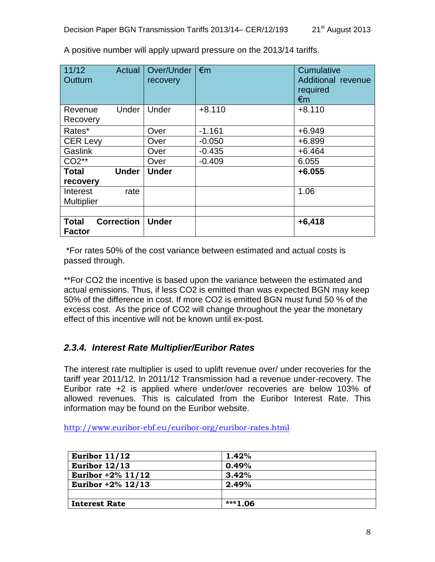| 11/12<br>Actual<br>Outturn                         | Over/Under<br>recovery | $\epsilon$ m | Cumulative<br>Additional revenue<br>required<br>€m |
|----------------------------------------------------|------------------------|--------------|----------------------------------------------------|
| Under<br>Revenue<br>Recovery                       | Under                  | $+8.110$     | $+8.110$                                           |
| Rates*                                             | Over                   | $-1.161$     | $+6.949$                                           |
| <b>CER Levy</b>                                    | Over                   | $-0.050$     | $+6.899$                                           |
| Gaslink                                            | Over                   | $-0.435$     | $+6.464$                                           |
| $CO2**$                                            | Over                   | $-0.409$     | 6.055                                              |
| <b>Under</b><br><b>Total</b><br>recovery           | <b>Under</b>           |              | $+6.055$                                           |
| Interest<br>rate<br><b>Multiplier</b>              |                        |              | 1.06                                               |
|                                                    |                        |              |                                                    |
| <b>Correction</b><br><b>Total</b><br><b>Factor</b> | <b>Under</b>           |              | $+6,418$                                           |

A positive number will apply upward pressure on the 2013/14 tariffs.

\*For rates 50% of the cost variance between estimated and actual costs is passed through.

\*\*For CO2 the incentive is based upon the variance between the estimated and actual emissions. Thus, if less CO2 is emitted than was expected BGN may keep 50% of the difference in cost. If more CO2 is emitted BGN must fund 50 % of the excess cost. As the price of CO2 will change throughout the year the monetary effect of this incentive will not be known until ex-post.

## <span id="page-7-0"></span>*2.3.4. Interest Rate Multiplier/Euribor Rates*

The interest rate multiplier is used to uplift revenue over/ under recoveries for the tariff year 2011/12. In 2011/12 Transmission had a revenue under-recovery. The Euribor rate +2 is applied where under/over recoveries are below 103% of allowed revenues. This is calculated from the Euribor Interest Rate. This information may be found on the Euribor website.

<http://www.euribor-ebf.eu/euribor-org/euribor-rates.html>

| Euribor $11/12$      | 1.42%    |
|----------------------|----------|
| Euribor $12/13$      | 0.49%    |
| Euribor $+2\%$ 11/12 | $3.42\%$ |
| Euribor $+2\%$ 12/13 | 2.49%    |
|                      |          |
| <b>Interest Rate</b> | ***1.06  |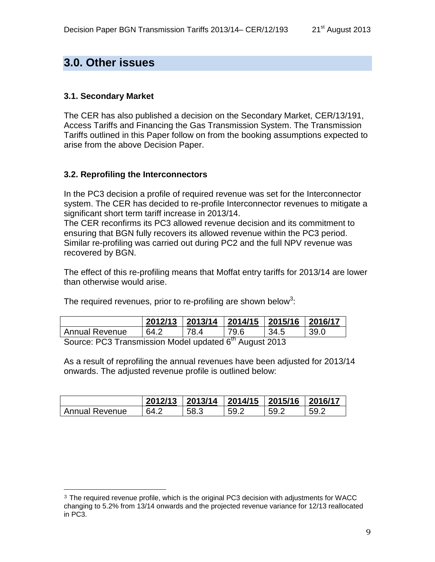## **3.0. Other issues**

#### **3.1. Secondary Market**

The CER has also published a decision on the Secondary Market, CER/13/191, Access Tariffs and Financing the Gas Transmission System. The Transmission Tariffs outlined in this Paper follow on from the booking assumptions expected to arise from the above Decision Paper.

#### **3.2. Reprofiling the Interconnectors**

In the PC3 decision a profile of required revenue was set for the Interconnector system. The CER has decided to re-profile Interconnector revenues to mitigate a significant short term tariff increase in 2013/14.

The CER reconfirms its PC3 allowed revenue decision and its commitment to ensuring that BGN fully recovers its allowed revenue within the PC3 period. Similar re-profiling was carried out during PC2 and the full NPV revenue was recovered by BGN.

The effect of this re-profiling means that Moffat entry tariffs for 2013/14 are lower than otherwise would arise.

The required revenues, prior to re-profiling are shown below<sup>3</sup>:

|                       | 2012/13 | 2013/14 2014/15 2015/16 |      |      | 2016/17 |  |  |
|-----------------------|---------|-------------------------|------|------|---------|--|--|
| <b>Annual Revenue</b> | 64 2    | 78.4                    | 79.6 | 34.5 | 39.0    |  |  |
| $\blacksquare$        |         |                         |      |      |         |  |  |

Source: PC3 Transmission Model updated 6<sup>th</sup> August 2013

As a result of reprofiling the annual revenues have been adjusted for 2013/14 onwards. The adjusted revenue profile is outlined below:

|                       | 2012/13 | 2013/14 2014/15 2015/16 |      |      | 2016/17      |
|-----------------------|---------|-------------------------|------|------|--------------|
| <b>Annual Revenue</b> | 64 2    | 58.3                    | 59.2 | 59 2 | 59 C<br>◡◡.∠ |

<sup>3</sup> The required revenue profile, which is the original PC3 decision with adjustments for WACC changing to 5.2% from 13/14 onwards and the projected revenue variance for 12/13 reallocated in PC3.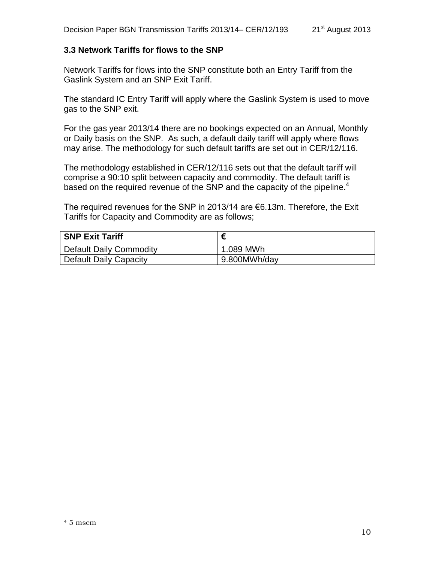#### **3.3 Network Tariffs for flows to the SNP**

Network Tariffs for flows into the SNP constitute both an Entry Tariff from the Gaslink System and an SNP Exit Tariff.

The standard IC Entry Tariff will apply where the Gaslink System is used to move gas to the SNP exit.

For the gas year 2013/14 there are no bookings expected on an Annual, Monthly or Daily basis on the SNP. As such, a default daily tariff will apply where flows may arise. The methodology for such default tariffs are set out in CER/12/116.

The methodology established in CER/12/116 sets out that the default tariff will comprise a 90:10 split between capacity and commodity. The default tariff is based on the required revenue of the SNP and the capacity of the pipeline.<sup>4</sup>

The required revenues for the SNP in 2013/14 are €6.13m. Therefore, the Exit Tariffs for Capacity and Commodity are as follows;

| <b>SNP Exit Tariff</b>  |              |
|-------------------------|--------------|
| Default Daily Commodity | 1.089 MWh    |
| Default Daily Capacity  | 9.800MWh/day |

 $\overline{a}$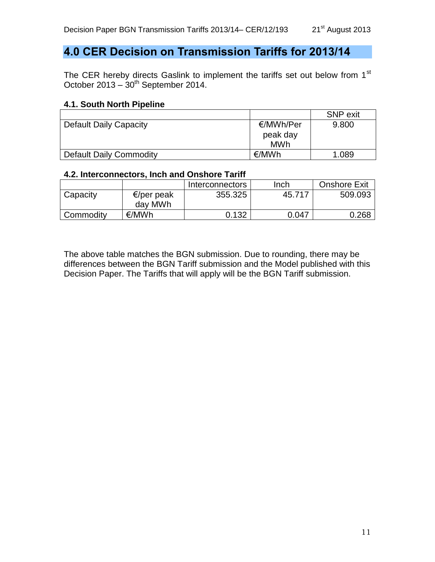# <span id="page-10-0"></span>**4.0 CER Decision on Transmission Tariffs for 2013/14**

The CER hereby directs Gaslink to implement the tariffs set out below from 1<sup>st</sup> October 2013 –  $30<sup>th</sup>$  September 2014.

### **4.1. South North Pipeline**

|                               |           | <b>SNP</b> exit |
|-------------------------------|-----------|-----------------|
| <b>Default Daily Capacity</b> | €/MWh/Per | 9.800           |
|                               | peak day  |                 |
|                               | MWh       |                 |
| Default Daily Commodity       | €/MWh     | 1.089           |

#### **4.2. Interconnectors, Inch and Onshore Tariff**

|           |                       | Interconnectors | Inch   | <b>Onshore Exit</b> |
|-----------|-----------------------|-----------------|--------|---------------------|
| Capacity  | €/per peak<br>day MWh | 355.325         | 45.717 | 509.093             |
| Commodity | €/MWh                 | 0.132           | 0.047  | 0.268               |

The above table matches the BGN submission. Due to rounding, there may be differences between the BGN Tariff submission and the Model published with this Decision Paper. The Tariffs that will apply will be the BGN Tariff submission.